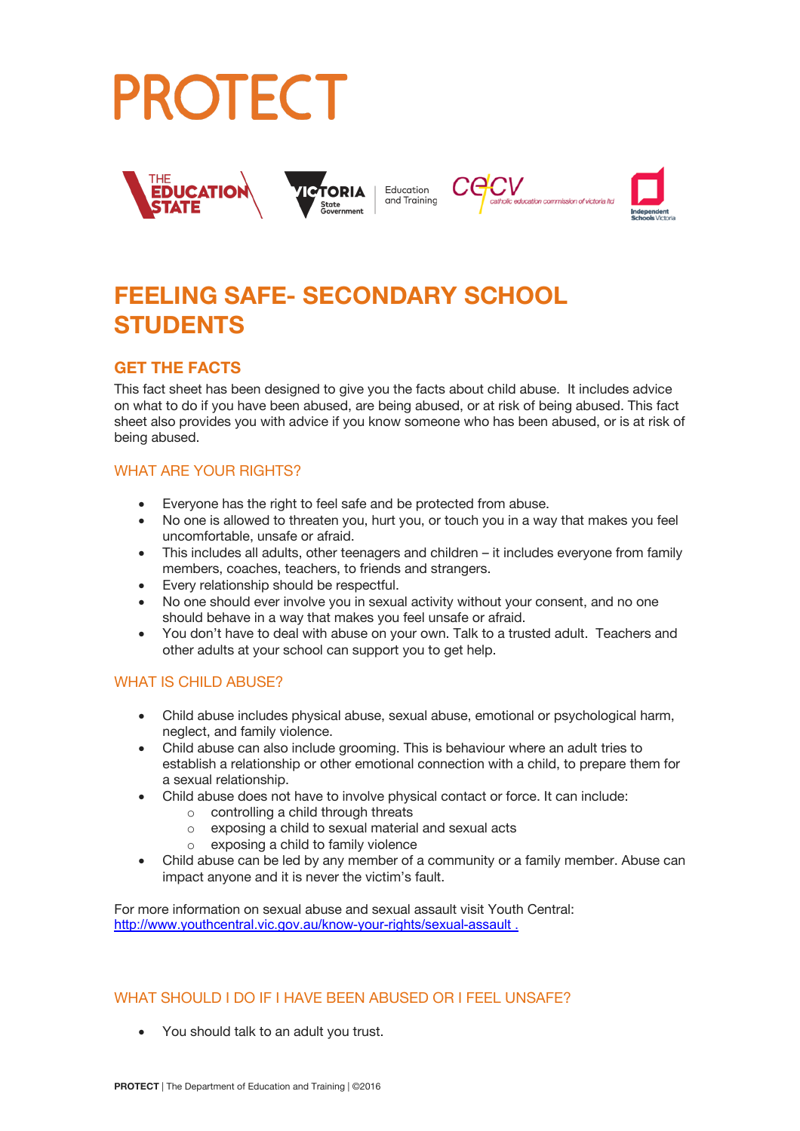



# **FEELING SAFE- SECONDARY SCHOOL STUDENTS**

# **GET THE FACTS**

This fact sheet has been designed to give you the facts about child abuse. It includes advice on what to do if you have been abused, are being abused, or at risk of being abused. This fact sheet also provides you with advice if you know someone who has been abused, or is at risk of being abused.

### WHAT ARE YOUR RIGHTS?

- Everyone has the right to feel safe and be protected from abuse.
- No one is allowed to threaten you, hurt you, or touch you in a way that makes you feel uncomfortable, unsafe or afraid.
- This includes all adults, other teenagers and children it includes everyone from family members, coaches, teachers, to friends and strangers.
- Every relationship should be respectful.
- No one should ever involve you in sexual activity without your consent, and no one should behave in a way that makes you feel unsafe or afraid.
- You don't have to deal with abuse on your own. Talk to a trusted adult. Teachers and other adults at your school can support you to get help.

#### WHAT IS CHILD ABUSE?

- Child abuse includes physical abuse, sexual abuse, emotional or psychological harm, neglect, and family violence.
- Child abuse can also include grooming. This is behaviour where an adult tries to establish a relationship or other emotional connection with a child, to prepare them for a sexual relationship.
- Child abuse does not have to involve physical contact or force. It can include:
	- o controlling a child through threats
	- o exposing a child to sexual material and sexual acts
	- exposing a child to family violence
- Child abuse can be led by any member of a community or a family member. Abuse can impact anyone and it is never the victim's fault.

For more information on sexual abuse and sexual assault visit Youth Central: http://www.youthcentral.vic.gov.au/know-your-rights/sexual-assault .

#### WHAT SHOULD I DO IF I HAVE BEEN ABUSED OR I FEEL UNSAFE?

• You should talk to an adult you trust.